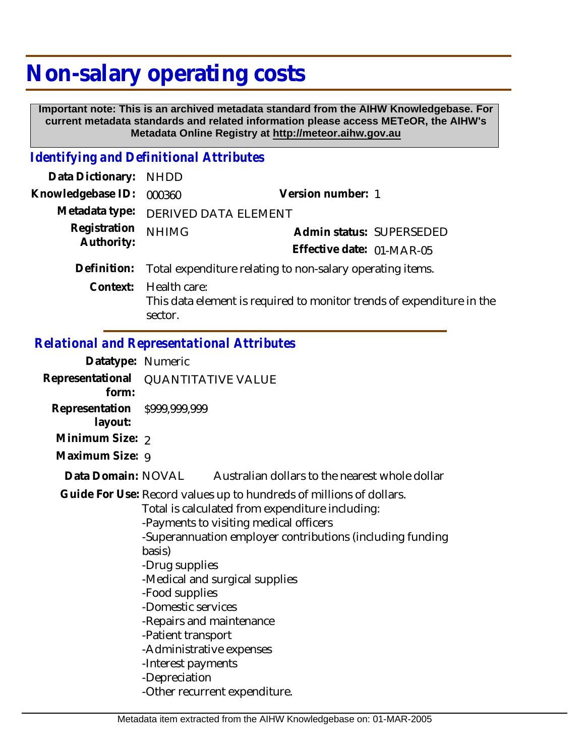# **Non-salary operating costs**

 **Important note: This is an archived metadata standard from the AIHW Knowledgebase. For current metadata standards and related information please access METeOR, the AIHW's Metadata Online Registry at http://meteor.aihw.gov.au**

## *Identifying and Definitional Attributes*

| Data Dictionary:           | NHDD                                                      |                                                                       |
|----------------------------|-----------------------------------------------------------|-----------------------------------------------------------------------|
| Knowledgebase ID:          | 000360                                                    | Version number: 1                                                     |
| Metadata type:             | DERIVED DATA ELEMENT                                      |                                                                       |
| Registration<br>Authority: | <b>NHIMG</b>                                              | Admin status: SUPERSEDED                                              |
|                            |                                                           | Effective date: 01-MAR-05                                             |
| Definition:                | Total expenditure relating to non-salary operating items. |                                                                       |
| Context:                   | Health care:<br>sector.                                   | This data element is required to monitor trends of expenditure in the |

#### *Relational and Representational Attributes*

| Datatype: Numeric         |                                                                                                                                                                                                                                                                                                                                                                                                                                                                                           |                                                |  |
|---------------------------|-------------------------------------------------------------------------------------------------------------------------------------------------------------------------------------------------------------------------------------------------------------------------------------------------------------------------------------------------------------------------------------------------------------------------------------------------------------------------------------------|------------------------------------------------|--|
| Representational<br>form: | <b>QUANTITATIVE VALUE</b>                                                                                                                                                                                                                                                                                                                                                                                                                                                                 |                                                |  |
| Representation<br>layout: | \$999,999,999                                                                                                                                                                                                                                                                                                                                                                                                                                                                             |                                                |  |
| Minimum Size: 2           |                                                                                                                                                                                                                                                                                                                                                                                                                                                                                           |                                                |  |
| Maximum Size: 9           |                                                                                                                                                                                                                                                                                                                                                                                                                                                                                           |                                                |  |
| Data Domain: NOVAL        |                                                                                                                                                                                                                                                                                                                                                                                                                                                                                           | Australian dollars to the nearest whole dollar |  |
|                           | Guide For Use: Record values up to hundreds of millions of dollars.<br>Total is calculated from expenditure including:<br>-Payments to visiting medical officers<br>-Superannuation employer contributions (including funding<br>basis)<br>-Drug supplies<br>-Medical and surgical supplies<br>-Food supplies<br>-Domestic services<br>-Repairs and maintenance<br>-Patient transport<br>-Administrative expenses<br>-Interest payments<br>-Depreciation<br>-Other recurrent expenditure. |                                                |  |